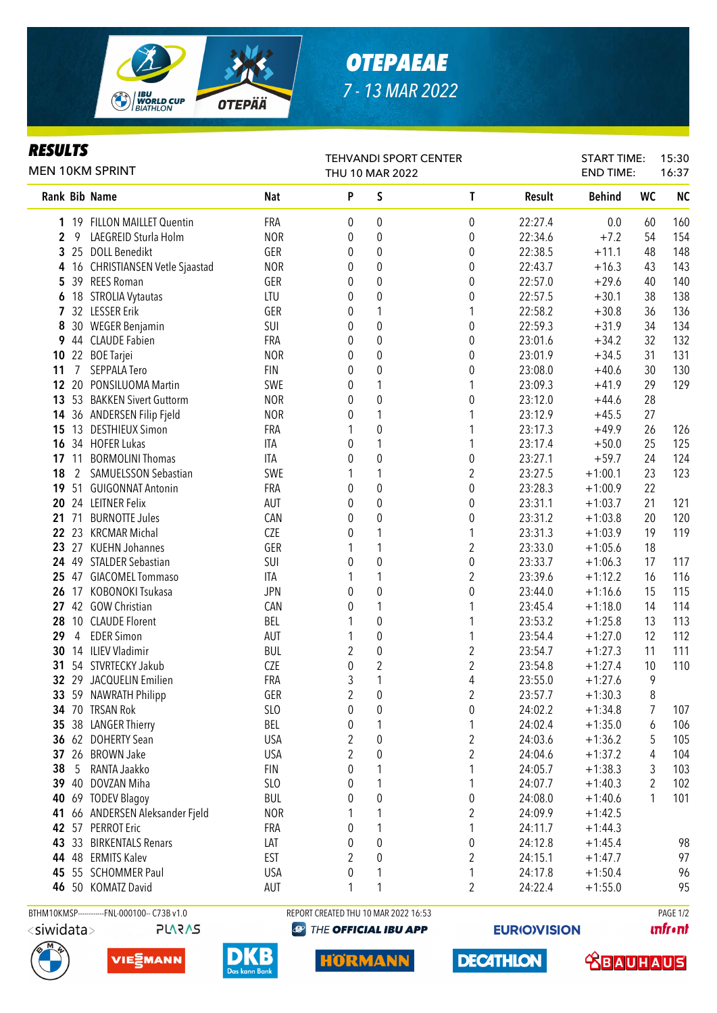

## *OTEPAEAE 7 - 13 MAR 2022*

## *RESULTS*

| VL I J<br><b>MEN 10KM SPRINT</b> |                |                                              |                 | TEHVANDI SPORT CENTER<br>THU 10 MAR 2022 |                  |                         |         | <b>START TIME:</b><br><b>END TIME:</b> |           | 15:30<br>16:37 |
|----------------------------------|----------------|----------------------------------------------|-----------------|------------------------------------------|------------------|-------------------------|---------|----------------------------------------|-----------|----------------|
|                                  |                | <b>Rank Bib Name</b>                         | <b>Nat</b>      | P                                        | S                | $\mathsf{T}$            | Result  | <b>Behind</b>                          | <b>WC</b> | <b>NC</b>      |
|                                  |                | 1 19 FILLON MAILLET Quentin                  | FRA             | 0                                        | 0                | $\boldsymbol{0}$        | 22:27.4 | 0.0                                    | 60        | 160            |
| $\boldsymbol{2}$                 | 9              | LAEGREID Sturla Holm                         | <b>NOR</b>      | 0                                        | 0                | 0                       | 22:34.6 | $+7.2$                                 | 54        | 154            |
| 3                                |                | 25 DOLL Benedikt                             | GER             | 0                                        | 0                | $\boldsymbol{0}$        | 22:38.5 | $+11.1$                                | 48        | 148            |
| 4                                |                | 16 CHRISTIANSEN Vetle Sjaastad               | <b>NOR</b>      | 0                                        | 0                | $\boldsymbol{0}$        | 22:43.7 | $+16.3$                                | 43        | 143            |
| 5                                |                | 39 REES Roman                                | GER             | 0                                        | $\boldsymbol{0}$ | $\boldsymbol{0}$        | 22:57.0 | $+29.6$                                | 40        | 140            |
| 6                                |                | 18 STROLIA Vytautas                          | LTU             | 0                                        | $\boldsymbol{0}$ | $\boldsymbol{0}$        | 22:57.5 | $+30.1$                                | 38        | 138            |
| 7                                |                | 32 LESSER Erik                               | GER             | 0                                        | 1                | 1                       | 22:58.2 | $+30.8$                                | 36        | 136            |
| 8                                |                | 30 WEGER Benjamin                            | SUI             | 0                                        | $\pmb{0}$        | $\pmb{0}$               | 22:59.3 | $+31.9$                                | 34        | 134            |
| 9                                |                | 44 CLAUDE Fabien                             | FRA             | 0                                        | 0                | $\pmb{0}$               | 23:01.6 | $+34.2$                                | 32        | 132            |
| 10                               |                | 22 BOE Tarjei                                | <b>NOR</b>      | 0                                        | 0                | $\boldsymbol{0}$        | 23:01.9 | $+34.5$                                | 31        | 131            |
| 11                               | 7              | SEPPALA Tero                                 | <b>FIN</b>      | 0                                        | $\boldsymbol{0}$ | $\boldsymbol{0}$        | 23:08.0 | $+40.6$                                | 30        | 130            |
| 12                               |                | 20 PONSILUOMA Martin                         | SWE             | 0                                        | 1                | 1                       | 23:09.3 | $+41.9$                                | 29        | 129            |
| 13                               |                | 53 BAKKEN Sivert Guttorm                     | <b>NOR</b>      | 0                                        | $\mathbf 0$      | 0                       | 23:12.0 | $+44.6$                                | 28        |                |
| 14                               |                | 36 ANDERSEN Filip Fjeld                      | <b>NOR</b>      | 0                                        | 1                | 1                       | 23:12.9 | $+45.5$                                | 27        |                |
| 15                               |                | 13 DESTHIEUX Simon                           | FRA             |                                          | $\mathbf 0$      | 1                       | 23:17.3 | $+49.9$                                | 26        | 126            |
| 16                               |                | 34 HOFER Lukas                               | ITA             | 0                                        | 1                | 1                       | 23:17.4 | $+50.0$                                | 25        | 125            |
|                                  |                | 17 11 BORMOLINI Thomas                       | ITA             | 0                                        | $\mathbf 0$      | $\boldsymbol{0}$        | 23:27.1 | $+59.7$                                | 24        | 124            |
| 18                               | 2              | SAMUELSSON Sebastian                         | SWE             |                                          | 1                | 2                       | 23:27.5 | $+1:00.1$                              | 23        | 123            |
| 19                               |                | 51 GUIGONNAT Antonin                         | <b>FRA</b>      | 0                                        | $\mathbf 0$      | $\boldsymbol{0}$        | 23:28.3 | $+1:00.9$                              | 22        |                |
| 20                               |                | 24 LEITNER Felix                             | AUT             | 0                                        | 0                | $\boldsymbol{0}$        | 23:31.1 | $+1:03.7$                              | 21        | 121            |
| 21                               | 71             | <b>BURNOTTE Jules</b>                        | CAN             | 0                                        | $\mathbf 0$      | $\boldsymbol{0}$        | 23:31.2 | $+1:03.8$                              | 20        | 120            |
| 22                               |                | 23 KRCMAR Michal                             | CZE             | 0                                        | 1                | 1                       | 23:31.3 | $+1:03.9$                              | 19        | 119            |
| 23                               |                | 27 KUEHN Johannes                            | GER             |                                          | 1                | $\overline{\mathbf{c}}$ | 23:33.0 | $+1:05.6$                              | 18        |                |
| 24                               |                | 49 STALDER Sebastian                         | SUI             | 0                                        | $\mathbf 0$      | $\boldsymbol{0}$        | 23:33.7 | $+1:06.3$                              | 17        | 117            |
| 25                               |                | 47 GIACOMEL Tommaso                          | <b>ITA</b>      | 1                                        | 1                | $\overline{\mathbf{c}}$ | 23:39.6 | $+1:12.2$                              | 16        | 116            |
| 26                               |                | 17 KOBONOKI Tsukasa                          | <b>JPN</b>      | 0                                        | $\boldsymbol{0}$ | $\boldsymbol{0}$        | 23:44.0 | $+1:16.6$                              | 15        | 115            |
| 27                               |                | 42 GOW Christian                             | CAN             | 0                                        | $\mathbf{1}$     | 1                       | 23:45.4 | $+1:18.0$                              | 14        | 114            |
| 28                               |                | 10 CLAUDE Florent                            | BEL             |                                          | 0                | 1                       | 23:53.2 | $+1:25.8$                              | 13        | 113            |
| 29                               | $\overline{4}$ | <b>EDER Simon</b>                            | AUT             |                                          | $\pmb{0}$        | 1                       | 23:54.4 | $+1:27.0$                              | 12        | 112            |
| 30                               |                | 14 ILIEV Vladimir                            | <b>BUL</b>      | $\overline{2}$                           | $\pmb{0}$        | $\overline{\mathbf{c}}$ | 23:54.7 | $+1:27.3$                              | 11        | 111            |
| 31                               |                | 54 STVRTECKY Jakub                           | <b>CZE</b>      | 0                                        | $\overline{2}$   | $\overline{\mathbf{c}}$ | 23:54.8 | $+1:27.4$                              | 10        | 110            |
|                                  |                | 32 29 JACQUELIN Emilien                      | FRA             | 3                                        | 1                | 4                       | 23:55.0 | $+1:27.6$                              | 9         |                |
|                                  |                | 33 59 NAWRATH Philipp                        | GER             | $\overline{\mathbf{c}}$                  | $\boldsymbol{0}$ | $\overline{\mathbf{c}}$ | 23:57.7 | $+1:30.3$                              | $\, 8$    |                |
|                                  |                | 34 70 TRSAN Rok                              | SL <sub>0</sub> | 0                                        | 0                | $\boldsymbol{0}$        | 24:02.2 | $+1:34.8$                              | 7         | 107            |
| 35                               |                | 38 LANGER Thierry                            | BEL             | 0                                        | 1                | 1                       | 24:02.4 | $+1:35.0$                              | 6         | 106            |
|                                  |                | 36 62 DOHERTY Sean                           | <b>USA</b>      | 2                                        | 0                | $\overline{\mathbf{c}}$ | 24:03.6 | $+1:36.2$                              | 5         | 105            |
| 37                               |                | 26 BROWN Jake                                | <b>USA</b>      | 2                                        | 0                | $\overline{c}$          | 24:04.6 | $+1:37.2$                              | 4         | 104            |
| 38                               | 5              | RANTA Jaakko                                 | <b>FIN</b>      | 0                                        | 1                | 1                       | 24:05.7 | $+1:38.3$                              | 3         | 103            |
| 39                               |                | 40 DOVZAN Miha                               | SLO             | 0                                        | 1                | 1                       | 24:07.7 | $+1:40.3$                              | 2         | 102            |
| 40                               |                | 69 TODEV Blagoy                              | <b>BUL</b>      | 0                                        | 0                | $\pmb{0}$               | 24:08.0 | $+1:40.6$                              | 1         | 101            |
|                                  |                |                                              | <b>NOR</b>      |                                          |                  |                         |         |                                        |           |                |
| 41                               |                | 66 ANDERSEN Aleksander Fjeld                 |                 |                                          | 1                | 2                       | 24:09.9 | $+1:42.5$                              |           |                |
|                                  |                | 42 57 PERROT Eric                            | FRA             | 0                                        | 1                | 1                       | 24:11.7 | $+1:44.3$                              |           |                |
| 43                               |                | 33 BIRKENTALS Renars                         | LAT             | 0                                        | 0                | 0                       | 24:12.8 | $+1:45.4$                              |           | 98             |
| 44                               |                | 48 ERMITS Kalev                              | <b>EST</b>      | 2                                        | 0                | 2                       | 24:15.1 | $+1:47.7$                              |           | 97             |
| 45                               |                | 55 SCHOMMER Paul                             | <b>USA</b>      | 0                                        | 1                | 1                       | 24:17.8 | $+1:50.4$                              |           | 96             |
|                                  |                | 46 50 KOMATZ David                           | AUT             | 1                                        | 1                | 2                       | 24:22.4 | $+1:55.0$                              |           | 95             |
|                                  |                | BTHM10KMSP------------FNL-000100-- C73B v1.0 |                 | REPORT CREATED THU 10 MAR 2022 16:53     |                  |                         |         |                                        |           | PAGE 1/2       |

**PLARAS** 







**@ THE OFFICIAL IBU APP** 

**HORMANN** 

**EURIO)VISION** 

**DECATHLON** 

**unfront** 

**TRAUHAUS**